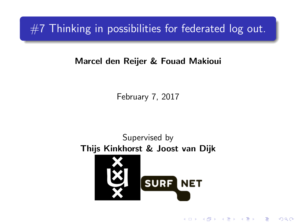$#7$  Thinking in possibilities for federated log out.

#### Marcel den Reijer & Fouad Makioui

February 7, 2017

Supervised by Thijs Kinkhorst & Joost van DijkSURF NET

K ロ K K 御 K K W B K W B K W B B

 $2Q$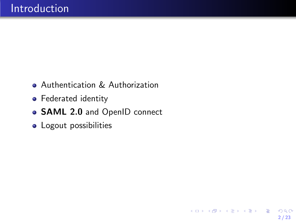- Authentication & Authorization
- Federated identity
- SAML 2.0 and OpenID connect
- **•** Logout possibilities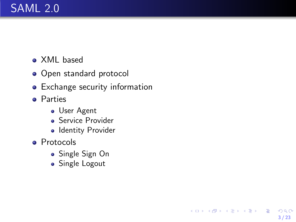## <span id="page-2-0"></span>SAML 2.0

- XML based
- Open standard protocol
- Exchange security information
- **o** Parties
	- **J** User Agent
	- Service Provider
	- Identity Provider
- **•** Protocols
	- Single Sign On
	- Single Logout

3 / 23

 $2990$ 

K ロ ▶ K @ ▶ K 경 ▶ K 경 ▶ X 경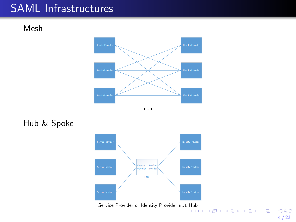## SAML Infrastructures

Mesh





Hub & Spoke



Service Provider or Identity Provider n..1 [Hub](#page-2-0)

4 / 23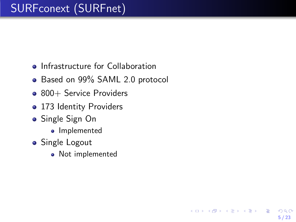## SURFconext (SURFnet)

- Infrastructure for Collaboration
- Based on 99% SAML 2.0 protocol

5 / 23

 $QQ$ 

K ロンス 御 > ス ヨ > ス ヨ > ニ ヨ

- 800+ Service Providers
- 173 Identity Providers
- Single Sign On
	- Implemented
- **•** Single Logout
	- Not implemented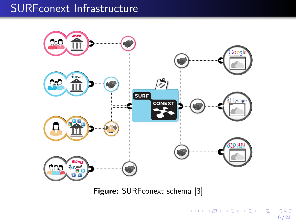## SURFconext Infrastructure



Figure: SURFconext schema [\[3\]](#page-23-0)

6 / 23

 $290$ 

イロト 不優 ト 不思 ト 不思 トー 理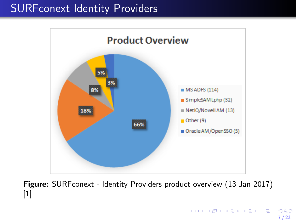## SURFconext Identity Providers



Figure: SURF conext - Identity Providers product overview (13 Jan 2017) [\[1\]](#page-23-1)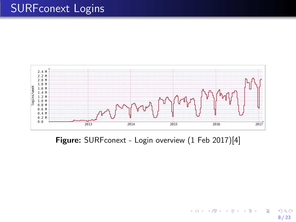## SURFconext Logins



Figure: SURFconext - Login overview (1 Feb 2017)[\[4\]](#page-23-2)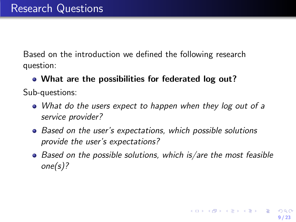Based on the introduction we defined the following research question:

#### • What are the possibilities for federated log out?

Sub-questions:

- What do the users expect to happen when they log out of a service provider?
- Based on the user's expectations, which possible solutions provide the user's expectations?
- $\bullet$  Based on the possible solutions, which is/are the most feasible one(s)?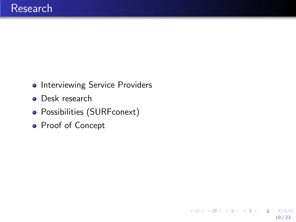- **•** Interviewing Service Providers
- **•** Desk research
- Possibilities (SURFconext)
- Proof of Concept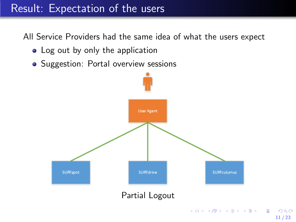## Result: Expectation of the users

All Service Providers had the same idea of what the users expect

- Log out by only the application
- Suggestion: Portal overview sessions



 $2990$ 11 / 23

イロメ イ部メ イ君メ イ君メー 君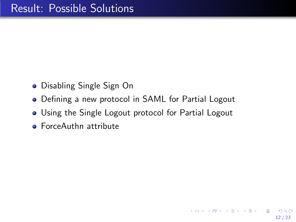- Disabling Single Sign On
- Defining a new protocol in SAML for Partial Logout
- Using the Single Logout protocol for Partial Logout
- **ForceAuthn attribute**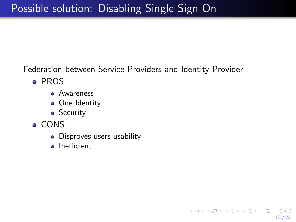Federation between Service Providers and Identity Provider

13 / 23

K ロ > K 何 > K 君 > K 君 > 「君」 の Q Q

- PROS
	- Awareness
	- One Identity
	- **•** Security
- CONS
	- Disproves users usability
	- **o** Inefficient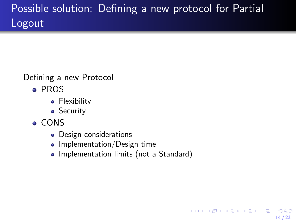# Possible solution: Defining a new protocol for Partial Logout

#### Defining a new Protocol

- PROS
	- Flexibility
	- **•** Security
- CONS
	- Design considerations
	- $\bullet$  Implementation/Design time
	- Implementation limits (not a Standard)

14 / 23

 $QQ$ 

画

メロメ メ部 メメ きょうくきょう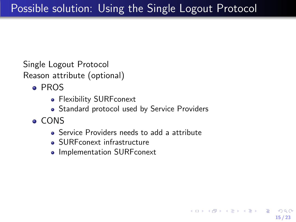Single Logout Protocol Reason attribute (optional)

- PROS
	- **Flexibility SURFconext**
	- Standard protocol used by Service Providers
- CONS
	- Service Providers needs to add a attribute

15 / 23

 $\mathbf{A} \cap \mathbf{D} \rightarrow \mathbf{A} \cap \mathbf{B} \rightarrow \mathbf{A} \oplus \mathbf{B} \rightarrow \mathbf{A} \oplus \mathbf{B} \rightarrow \mathbf{A} \oplus \mathbf{B}$ 

- **SURFconext infrastructure**
- Implementation SURFconext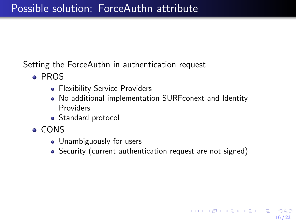Setting the ForceAuthn in authentication request

- PROS
	- Flexibility Service Providers
	- No additional implementation SURFconext and Identity Providers
	- Standard protocol
- CONS
	- Unambiguously for users
	- Security (current authentication request are not signed)

16 / 23

K ロ ▶ K @ ▶ K 할 > K 할 > → 할 → 9 Q Q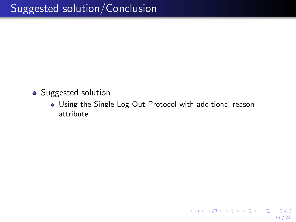- Suggested solution
	- Using the Single Log Out Protocol with additional reason attribute

17 / 23

K ロ ▶ K @ ▶ K 할 ▶ K 할 ▶ 이 할 → 9 Q Q →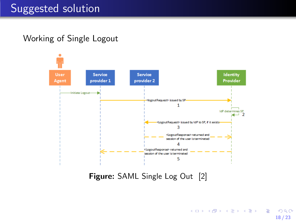Working of Single Logout



Figure: SAML Single Log Out [\[2\]](#page-23-3)

K ロ ▶ K @ ▶ K 경 ▶ K 경 ▶ X 경  $2990$ 18 / 23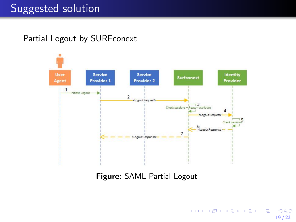#### Partial Logout by SURFconext



Figure: SAML Partial Logout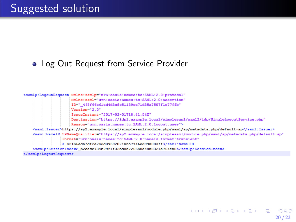#### • Log Out Request from Service Provider



KED KARD KED KED E VOOR 20 / 23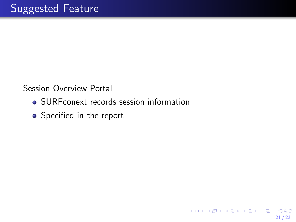Session Overview Portal

- SURFconext records session information
- Specified in the report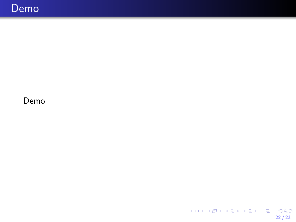#### Demo

 $\begin{array}{rclclcl} \left\langle \left| \begin{array}{c} 1 & 0 & 0 \\ 0 & 0 & 0 \\ 0 & 0 & 0 \\ 0 & 0 & 0 \\ 0 & 0 & 0 \\ 0 & 0 & 0 \\ 0 & 0 & 0 \\ 0 & 0 & 0 \\ 0 & 0 & 0 \\ 0 & 0 & 0 \\ 0 & 0 & 0 \\ 0 & 0 & 0 \\ 0 & 0 & 0 \\ 0 & 0 & 0 \\ 0 & 0 & 0 \\ 0 & 0 & 0 \\ 0 & 0 & 0 \\ 0 & 0 & 0 \\ 0 & 0 & 0 \\ 0 & 0 & 0 \\ 0 & 0 & 0 & 0 \\ 0 &$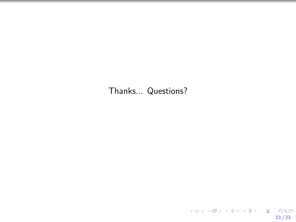#### Thanks... Questions?

23 / 23

KO K KØD K ED K ED V E V DA OK